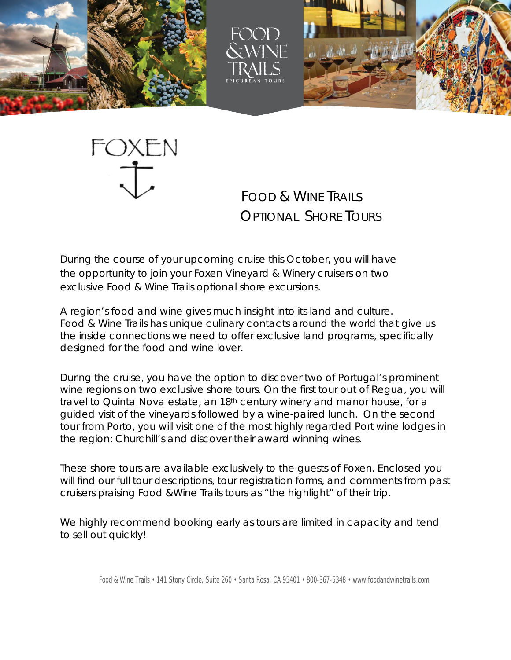





FOXEN

 FOOD & WINE TRAILS OPTIONAL SHORE TOURS

During the course of your upcoming cruise this October, you will have the opportunity to join your *Foxen Vineyard & Winery* cruisers on two exclusive Food & Wine Trails optional shore excursions.

A region's food and wine gives much insight into its land and culture. Food & Wine Trails has unique culinary contacts around the world that give us the inside connections we need to offer exclusive land programs, specifically designed for the food and wine lover.

During the cruise, you have the option to discover two of Portugal's prominent wine regions on two exclusive shore tours. On the first tour out of Regua, you will travel to Quinta Nova estate, an 18th century winery and manor house, for a guided visit of the vineyards followed by a wine-paired lunch. On the second tour from Porto, you will visit one of the most highly regarded Port wine lodges in the region: *Churchill's* and discover their award winning wines.

These shore tours are available exclusively to the guests of Foxen. Enclosed you will find our full tour descriptions, tour registration forms, and comments from past cruisers praising Food &Wine Trails tours as "the highlight" of their trip.

We highly recommend booking early as tours are limited in capacity and tend to sell out quickly!

Food & Wine Trails • 141 Stony Circle, Suite 260 • Santa Rosa, CA 95401 • 800-367-5348 • [www.foodandwinetrails.com](http://www.foodandwinetrails.com/)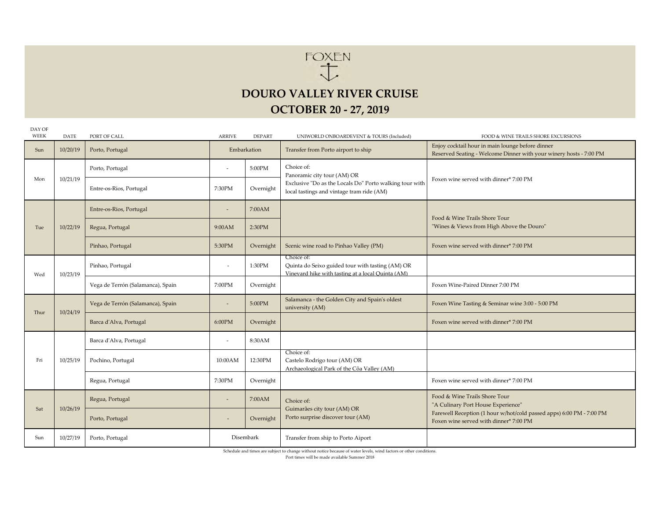

### **DOURO VALLEY RIVER CRUISE**

#### **OCTOBER 20 ‐ 27, 2019**

| DAY OF<br>WEEK | <b>DATE</b> | PORT OF CALL                      | <b>ARRIVE</b>            | <b>DEPART</b> | UNIWORLD ONBOARDEVENT & TOURS (Included)                                                                                                          | FOOD & WINE TRAILS SHORE EXCURSIONS                                                                                                                                                   |
|----------------|-------------|-----------------------------------|--------------------------|---------------|---------------------------------------------------------------------------------------------------------------------------------------------------|---------------------------------------------------------------------------------------------------------------------------------------------------------------------------------------|
| Sun            | 10/20/19    | Porto, Portugal                   |                          | Embarkation   | Transfer from Porto airport to ship                                                                                                               | Enjoy cocktail hour in main lounge before dinner<br>Reserved Seating - Welcome Dinner with your winery hosts - 7:00 PM                                                                |
| Mon            | 10/21/19    | Porto, Portugal                   | $\overline{\phantom{a}}$ | 5:00PM        | Choice of:<br>Panoramic city tour (AM) OR<br>Exclusive "Do as the Locals Do" Porto walking tour with<br>local tastings and vintage tram ride (AM) | Foxen wine served with dinner* 7:00 PM                                                                                                                                                |
|                |             | Entre-os-Rios, Portugal           | 7:30PM                   | Overnight     |                                                                                                                                                   |                                                                                                                                                                                       |
| Tue            | 10/22/19    | Entre-os-Rios, Portugal           | $\overline{\phantom{a}}$ | 7:00AM        |                                                                                                                                                   | Food & Wine Trails Shore Tour                                                                                                                                                         |
|                |             | Regua, Portugal                   | 9:00AM                   | 2:30PM        |                                                                                                                                                   | "Wines & Views from High Above the Douro"                                                                                                                                             |
|                |             | Pinhao, Portugal                  | 5:30PM                   | Overnight     | Scenic wine road to Pinhao Valley (PM)                                                                                                            | Foxen wine served with dinner* 7:00 PM                                                                                                                                                |
| Wed            | 10/23/19    | Pinhao, Portugal                  |                          | 1:30PM        | Choice of:<br>Quinta do Seixo guided tour with tasting (AM) OR<br>Vinevard hike with tasting at a local Ouinta (AM)                               |                                                                                                                                                                                       |
|                |             | Vega de Terrón (Salamanca), Spain | 7:00PM                   | Overnight     |                                                                                                                                                   | Foxen Wine-Paired Dinner 7:00 PM                                                                                                                                                      |
| Thur           | 10/24/19    | Vega de Terrón (Salamanca), Spain | $\overline{\phantom{a}}$ | 5:00PM        | Salamanca - the Golden City and Spain's oldest<br>university (AM)                                                                                 | Foxen Wine Tasting & Seminar wine 3:00 - 5:00 PM                                                                                                                                      |
|                |             | Barca d'Alva, Portugal            | 6:00PM                   | Overnight     |                                                                                                                                                   | Foxen wine served with dinner* 7:00 PM                                                                                                                                                |
| Fri            | 10/25/19    | Barca d'Alva, Portugal            | $\overline{\phantom{a}}$ | 8:30AM        |                                                                                                                                                   |                                                                                                                                                                                       |
|                |             | Pochino, Portugal                 | 10:00AM                  | 12:30PM       | Choice of:<br>Castelo Rodrigo tour (AM) OR<br>Archaeological Park of the Côa Valley (AM)                                                          |                                                                                                                                                                                       |
|                |             | Regua, Portugal                   | 7:30PM                   | Overnight     |                                                                                                                                                   | Foxen wine served with dinner* 7:00 PM                                                                                                                                                |
| Sat            | 10/26/19    | Regua, Portugal                   | $\overline{\phantom{a}}$ | 7:00AM        | Choice of:                                                                                                                                        | Food & Wine Trails Shore Tour<br>"A Culinary Port House Experience"<br>Farewell Reception (1 hour w/hot/cold passed apps) 6:00 PM - 7:00 PM<br>Foxen wine served with dinner* 7:00 PM |
|                |             | Porto, Portugal                   |                          | Overnight     | Guimarães city tour (AM) OR<br>Porto surprise discover tour (AM)                                                                                  |                                                                                                                                                                                       |
| Sun            | 10/27/19    | Porto, Portugal                   |                          | Disembark     | Transfer from ship to Porto Aiport                                                                                                                |                                                                                                                                                                                       |

Schedule and times are subject to change without notice because of water levels, wind factors or other conditions.

Port times will be made available Summer 2018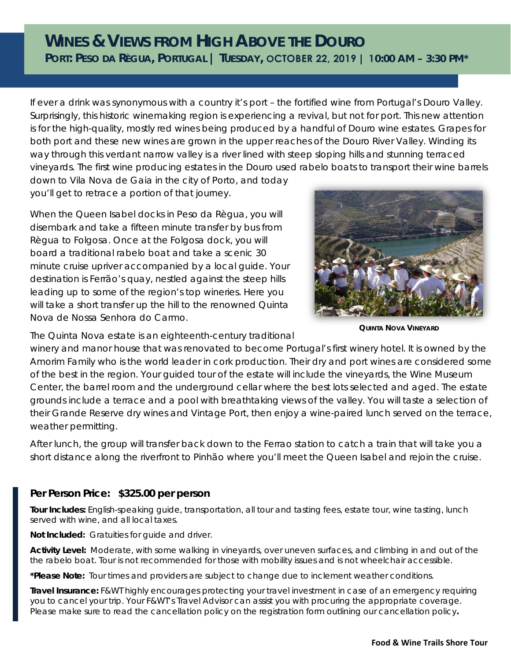## **WINES & VIEWS FROM HIGH ABOVE THE DOURO PORT: PESO DA RÈGUA, PORTUGAL | TUESDAY, OCTOBER 22, 2019 | 10:00 AM – 3:30 PM\***

If ever a drink was synonymous with a country it's port – the fortified wine from Portugal's Douro Valley. Surprisingly, this historic winemaking region is experiencing a revival, but not for port. This new attention is for the high-quality, mostly red wines being produced by a handful of Douro wine estates. Grapes for both port and these new wines are grown in the upper reaches of the Douro River Valley. Winding its way through this verdant narrow valley is a river lined with steep sloping hills and stunning terraced vineyards. The first wine producing estates in the Douro used rabelo boats to transport their wine barrels down to Vila Nova de Gaia in the city of Porto, and today

you'll get to retrace a portion of that journey.

When the Queen Isabel docks in Peso da Règua, you will disembark and take a fifteen minute transfer by bus from Règua to Folgosa. Once at the Folgosa dock, you will board a traditional rabelo boat and take a scenic 30 minute cruise upriver accompanied by a local guide. Your destination is Ferrão's quay, nestled against the steep hills leading up to some of the region's top wineries. Here you will take a short transfer up the hill to the renowned *Quinta Nova de Nossa Senhora do Carmo*.



**QUINTA NOVA VINEYARD**

The *Quinta Nova* estate is an eighteenth-century traditional

winery and manor house that was renovated to become Portugal's first winery hotel. It is owned by the Amorim Family who is the world leader in cork production. Their dry and port wines are considered some of the best in the region. Your guided tour of the estate will include the vineyards, the Wine Museum Center, the barrel room and the underground cellar where the best lots selected and aged. The estate grounds include a terrace and a pool with breathtaking views of the valley. You will taste a selection of their Grande Reserve dry wines and Vintage Port, then enjoy a wine-paired lunch served on the terrace, weather permitting.

After lunch, the group will transfer back down to the Ferrao station to catch a train that will take you a short distance along the riverfront to Pinhão where you'll meet the *Queen Isabel* and rejoin the cruise.

#### **Per Person Price: \$325.00 per person**

**Tour Includes:** English-speaking guide, transportation, all tour and tasting fees, estate tour, wine tasting, lunch served with wine, and all local taxes.

**Not Included:** Gratuities for guide and driver.

**Activity Level:** Moderate, with some walking in vineyards, over uneven surfaces, and climbing in and out of the the rabelo boat. Tour is not recommended for those with mobility issues and is not wheelchair accessible.

**\*Please Note:** Tour times and providers are subject to change due to inclement weather conditions.

**Travel Insurance:** F&WT highly encourages protecting your travel investment in case of an emergency requiring you to cancel your trip. Your F&WT's Travel Advisor can assist you with procuring the appropriate coverage. Please make sure to read the cancellation policy on the registration form outlining our cancellation policy*.*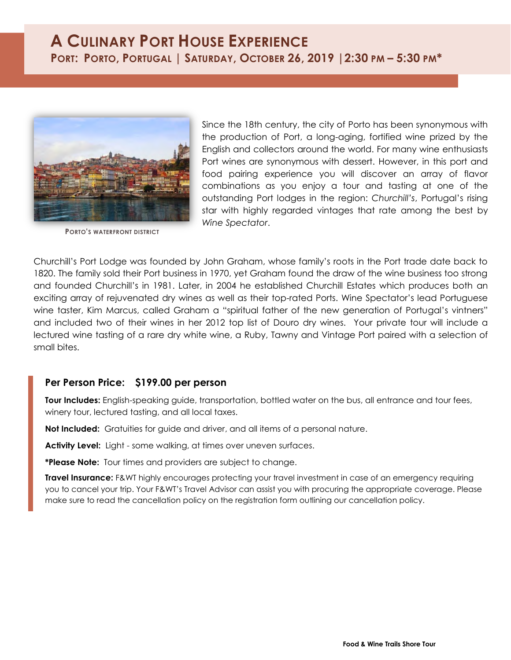# **A CULINARY PORT HOUSE EXPERIENCE** PORT: PORTO, PORTUGAL | SATURDAY, OCTOBER 26, 2019 | 2:30 PM - 5:30 PM\*



**PORTO'S WATERFRONT DISTRICT**

Since the 18th century, the city of Porto has been synonymous with the production of Port, a long-aging, fortified wine prized by the English and collectors around the world. For many wine enthusiasts Port wines are synonymous with dessert. However, in this port and food pairing experience you will discover an array of flavor combinations as you enjoy a tour and tasting at one of the outstanding Port lodges in the region: *Churchill's*, Portugal's rising star with highly regarded vintages that rate among the best by *Wine Spectator*.

Churchill's Port Lodge was founded by John Graham, whose family's roots in the Port trade date back to 1820. The family sold their Port business in 1970, yet Graham found the draw of the wine business too strong and founded Churchill's in 1981. Later, in 2004 he established Churchill Estates which produces both an exciting array of rejuvenated dry wines as well as their top-rated Ports. Wine Spectator's lead Portuguese wine taster, Kim Marcus, called Graham a "spiritual father of the new generation of Portugal's vintners" and included two of their wines in her 2012 top list of Douro dry wines. Your private tour will include a lectured wine tasting of a rare dry white wine, a Ruby, Tawny and Vintage Port paired with a selection of small bites.

#### **Per Person Price: \$199.00 per person**

**Tour Includes:** English-speaking guide, transportation, bottled water on the bus, all entrance and tour fees, winery tour, lectured tasting, and all local taxes.

**Not Included:** Gratuities for guide and driver, and all items of a personal nature.

**Activity Level:** Light - some walking, at times over uneven surfaces.

**\*Please Note:** Tour times and providers are subject to change.

**Travel Insurance:** F&WT highly encourages protecting your travel investment in case of an emergency requiring you to cancel your trip. Your F&WT's Travel Advisor can assist you with procuring the appropriate coverage. Please make sure to read the cancellation policy on the registration form outlining our cancellation policy.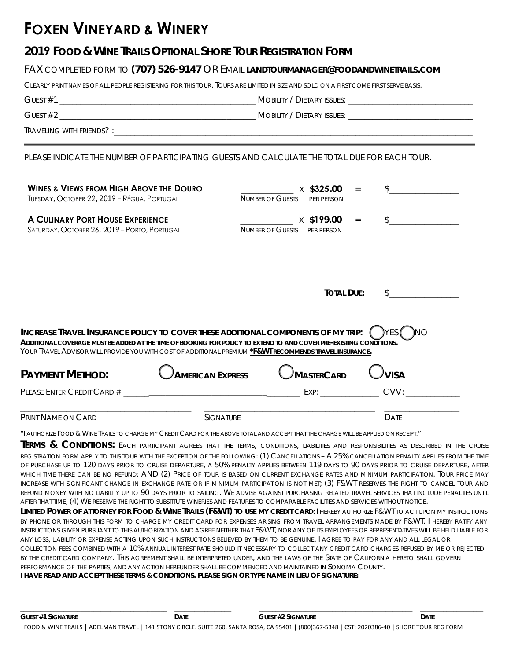# **FOXEN VINEYARD & WINERY**

## **2019 FOOD & WINE TRAILS OPTIONAL SHORE TOUR REGISTRATION FORM**

#### FAX COMPLETED FORM TO **(707) 526-9147** OR EMAIL **LANDTOURMANAGER@FOODANDWINETRAILS.COM**

CLEARLY PRINT NAMES OF ALL PEOPLE REGISTERING FOR THIS TOUR. TOURS ARE LIMITED IN SIZE AND SOLD ON A FIRST COME FIRST SERVE BASIS.

GUEST #1 \_\_\_\_\_\_\_\_\_\_\_\_\_\_\_\_\_\_\_\_\_\_\_\_\_\_\_\_\_\_\_\_\_\_\_\_\_\_\_\_\_\_\_\_\_\_\_ MOBILITY / DIETARY ISSUES: \_\_\_\_\_\_\_\_\_\_\_\_\_\_\_\_\_\_\_\_\_\_\_\_\_\_\_\_\_\_

GUEST #2 \_\_\_\_\_\_\_\_\_\_\_\_\_\_\_\_\_\_\_\_\_\_\_\_\_\_\_\_\_\_\_\_\_\_\_\_\_\_\_\_\_\_\_\_\_\_\_ MOBILITY / DIETARY ISSUES: \_\_\_\_\_\_\_\_\_\_\_\_\_\_\_\_\_\_\_\_\_\_\_\_\_\_\_\_\_\_

 ${\sf TRAVFLING}$  with friends? :

PLEASE INDICATE THE NUMBER OF PARTICIPATING GUESTS AND CALCULATE THE TOTAL DUE FOR EACH TOUR.

| WINES & VIEWS FROM HIGH ABOVE THE DOURO<br>TUESDAY, OCTOBER 22, 2019 - RÉGUA, PORTUGAL                                                                                                                                                                                                                                                       |                         | \$325.00<br><b>NUMBER OF GUESTS</b><br>PFR PFRSON          |             |  |  |  |  |  |  |
|----------------------------------------------------------------------------------------------------------------------------------------------------------------------------------------------------------------------------------------------------------------------------------------------------------------------------------------------|-------------------------|------------------------------------------------------------|-------------|--|--|--|--|--|--|
| <b>A CULINARY PORT HOUSE EXPERIENCE</b><br>SATURDAY, OCTOBER 26, 2019 - PORTO, PORTUGAL                                                                                                                                                                                                                                                      |                         | $\times$ \$199.00<br><b>NUMBER OF GUESTS</b><br>PFR PFRSON |             |  |  |  |  |  |  |
|                                                                                                                                                                                                                                                                                                                                              |                         | <b>TOTAL DUE:</b>                                          |             |  |  |  |  |  |  |
| INCREASE TRAVEL INSURANCE POLICY TO COVER THESE ADDITIONAL COMPONENTS OF MY TRIP:<br>Additional coverage must be added at the time of booking for policy to extend to and cover pre-existing conditions.<br>Your Travel Advisor will provide you with cost of additional premium <u>*<b>F&amp;WT recommends tra<i>vel insurance.</i></b></u> |                         |                                                            |             |  |  |  |  |  |  |
| <b>PAYMENT METHOD:</b>                                                                                                                                                                                                                                                                                                                       | <b>AMERICAN EXPRESS</b> | <b>MASTERCARD</b>                                          | <b>VISA</b> |  |  |  |  |  |  |
| PLEASE ENTER CREDIT CARD #                                                                                                                                                                                                                                                                                                                   |                         | EXP:                                                       | CVV:        |  |  |  |  |  |  |
| Print Name on Card                                                                                                                                                                                                                                                                                                                           | <b>SIGNATURE</b>        |                                                            | <b>DATE</b> |  |  |  |  |  |  |

"I AUTHORIZE FOOD & WINE TRAILS TO CHARGE MY CREDIT CARD FOR THE ABOVE TOTAL AND ACCEPT THAT THE CHARGE WILL BE APPLIED ON RECEIPT."

**TERMS & CONDITIONS:** EACH PARTICIPANT AGREES THAT THE TERMS, CONDITIONS, LIABILITIES AND RESPONSIBILITIES AS DESCRIBED IN THE CRUISE REGISTRATION FORM APPLY TO THIS TOUR WITH THE EXCEPTION OF THE FOLLOWING: (1) CANCELLATIONS – A 25% CANCELLATION PENALTY APPLIES FROM THE TIME OF PURCHASE UP TO 120 DAYS PRIOR TO CRUISE DEPARTURE, A 50% PENALTY APPLIES BETWEEN 119 DAYS TO 90 DAYS PRIOR TO CRUISE DEPARTURE, AFTER WHICH TIME THERE CAN BE NO REFUND; AND (2) PRICE OF TOUR IS BASED ON CURRENT EXCHANGE RATES AND MINIMUM PARTICIPATION. TOUR PRICE MAY INCREASE WITH SIGNIFICANT CHANGE IN EXCHANGE RATE OR IF MINIMUM PARTICIPATION IS NOT MET; (3) F&WT RESERVES THE RIGHT TO CANCEL TOUR AND REFUND MONEY WITH NO LIABILITY UP TO 90 DAYS PRIOR TO SAILING. WE ADVISE AGAINST PURCHASING RELATED TRAVEL SERVICES THAT INCLUDE PENALTIES UNTIL AFTER THAT TIME; (4) WE RESERVE THE RIGHT TO SUBSTITUTE WINERIES AND FEATURES TO COMPARABLE FACILITIES AND SERVICES WITHOUT NOTICE.

LIMITED POWER OF ATTORNEY FOR FOOD & WINE TRAILS (F&WT) TO USE MY CREDIT CARD: I HEREBY AUTHORIZE F&WT TO ACT UPON MY INSTRUCTIONS BY PHONE OR THROUGH THIS FORM TO CHARGE MY CREDIT CARD FOR EXPENSES ARISING FROM TRAVEL ARRANGEMENTS MADE BY F&WT. I HEREBY RATIFY ANY INSTRUCTIONS GIVEN PURSUANT TO THIS AUTHORIZATION AND AGREE NEITHER THAT F&WT, NOR ANY OF ITS EMPLOYEES OR REPRESENTATIVES WILL BE HELD LIABLE FOR ANY LOSS, LIABILITY OR EXPENSE ACTING UPON SUCH INSTRUCTIONS BELIEVED BY THEM TO BE GENUINE. I AGREE TO PAY FOR ANY AND ALL LEGAL OR COLLECTION FEES COMBINED WITH A 10% ANNUAL INTEREST RATE SHOULD IT NECESSARY TO COLLECT ANY CREDIT CARD CHARGES REFUSED BY ME OR REJECTED BY THE CREDIT CARD COMPANY. THIS AGREEMENT SHALL BE INTERPRETED UNDER, AND THE LAWS OF THE STATE OF CALIFORNIA HERETO SHALL GOVERN PERFORMANCE OF THE PARTIES, AND ANY ACTION HEREUNDER SHALL BE COMMENCED AND MAINTAINED IN SONOMA COUNTY. **I HAVE READ AND ACCEPT THESE TERMS & CONDITIONS. PLEASE SIGN OR TYPE NAME IN LIEU OF SIGNATURE:**